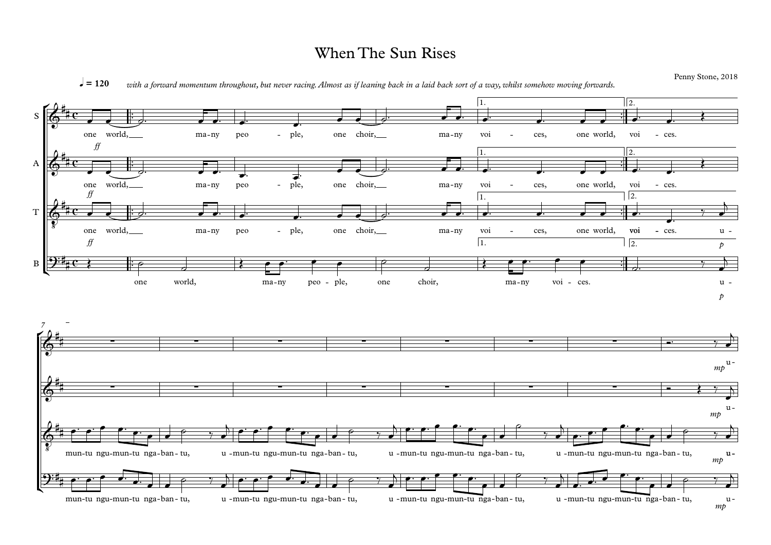## When The Sun Rises

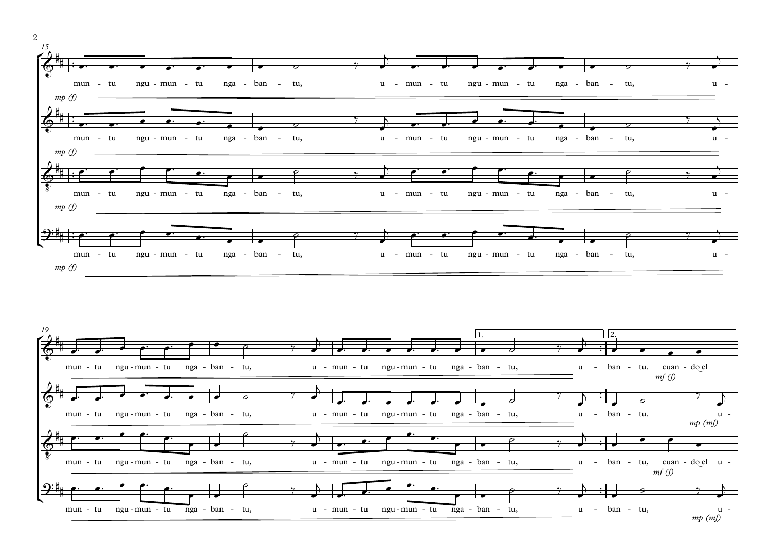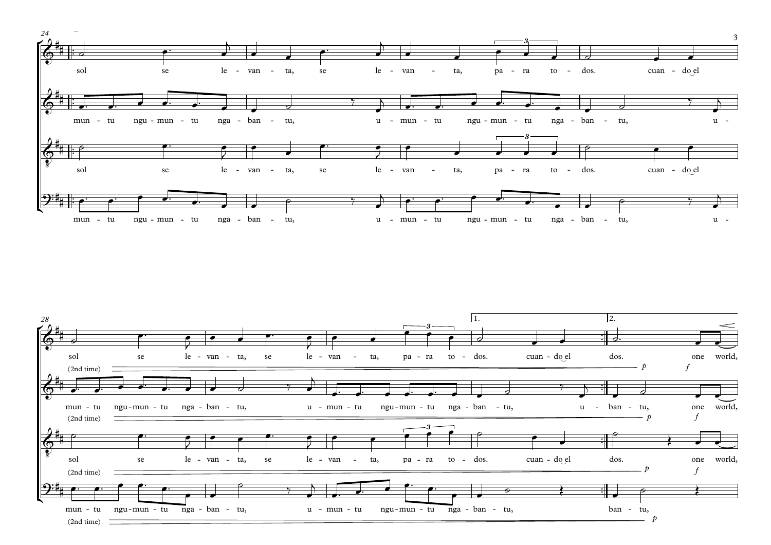

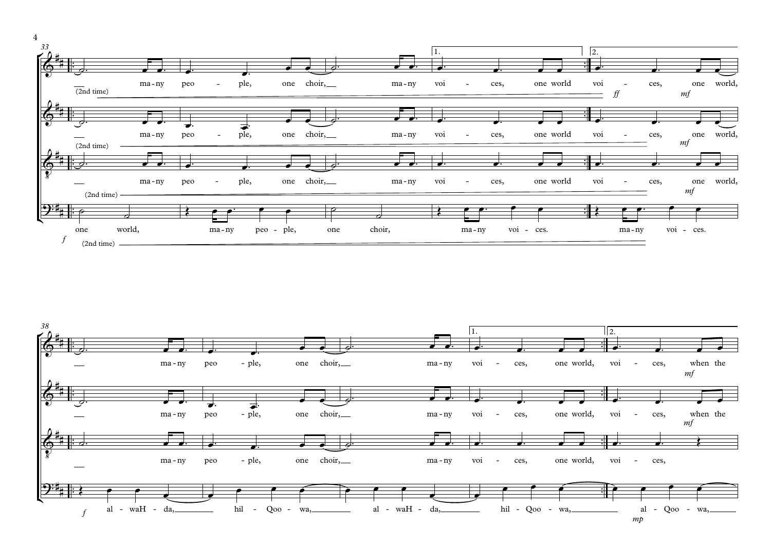